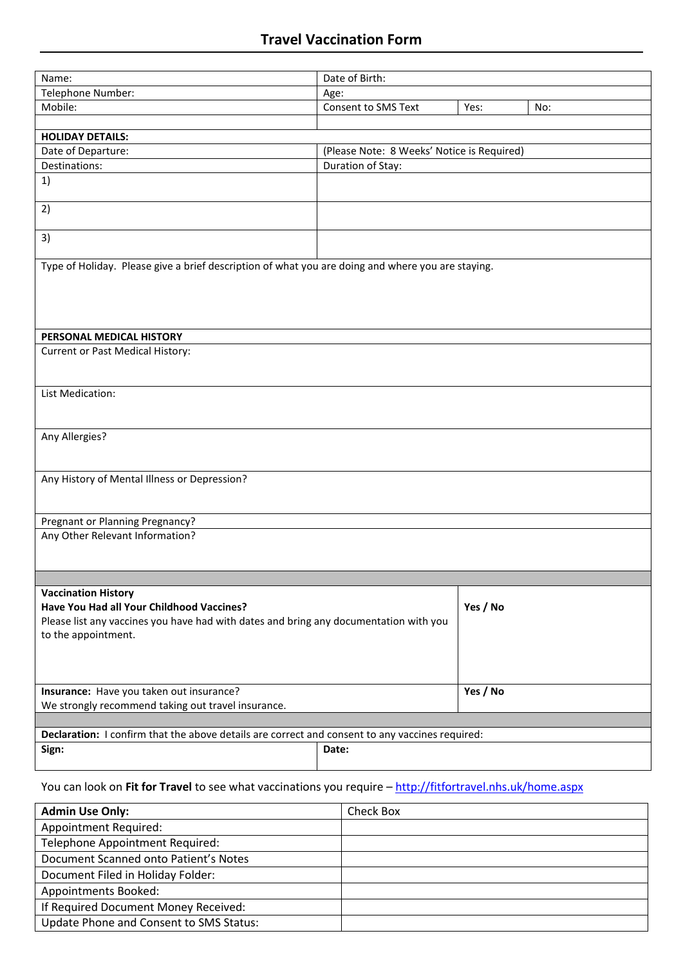| Name:                                                                                             | Date of Birth:                                                  |          |     |  |  |
|---------------------------------------------------------------------------------------------------|-----------------------------------------------------------------|----------|-----|--|--|
| Telephone Number:                                                                                 | Age:                                                            |          |     |  |  |
| Mobile:                                                                                           | Consent to SMS Text                                             | Yes:     | No: |  |  |
|                                                                                                   |                                                                 |          |     |  |  |
| <b>HOLIDAY DETAILS:</b>                                                                           |                                                                 |          |     |  |  |
| Date of Departure:                                                                                |                                                                 |          |     |  |  |
| Destinations:                                                                                     | (Please Note: 8 Weeks' Notice is Required)<br>Duration of Stay: |          |     |  |  |
| 1)                                                                                                |                                                                 |          |     |  |  |
|                                                                                                   |                                                                 |          |     |  |  |
| 2)                                                                                                |                                                                 |          |     |  |  |
|                                                                                                   |                                                                 |          |     |  |  |
| 3)                                                                                                |                                                                 |          |     |  |  |
|                                                                                                   |                                                                 |          |     |  |  |
| Type of Holiday. Please give a brief description of what you are doing and where you are staying. |                                                                 |          |     |  |  |
|                                                                                                   |                                                                 |          |     |  |  |
|                                                                                                   |                                                                 |          |     |  |  |
|                                                                                                   |                                                                 |          |     |  |  |
| PERSONAL MEDICAL HISTORY                                                                          |                                                                 |          |     |  |  |
| Current or Past Medical History:                                                                  |                                                                 |          |     |  |  |
|                                                                                                   |                                                                 |          |     |  |  |
|                                                                                                   |                                                                 |          |     |  |  |
| List Medication:                                                                                  |                                                                 |          |     |  |  |
|                                                                                                   |                                                                 |          |     |  |  |
|                                                                                                   |                                                                 |          |     |  |  |
| Any Allergies?                                                                                    |                                                                 |          |     |  |  |
|                                                                                                   |                                                                 |          |     |  |  |
|                                                                                                   |                                                                 |          |     |  |  |
| Any History of Mental Illness or Depression?                                                      |                                                                 |          |     |  |  |
|                                                                                                   |                                                                 |          |     |  |  |
|                                                                                                   |                                                                 |          |     |  |  |
| Pregnant or Planning Pregnancy?                                                                   |                                                                 |          |     |  |  |
| Any Other Relevant Information?                                                                   |                                                                 |          |     |  |  |
|                                                                                                   |                                                                 |          |     |  |  |
|                                                                                                   |                                                                 |          |     |  |  |
| <b>Vaccination History</b>                                                                        |                                                                 |          |     |  |  |
| Have You Had all Your Childhood Vaccines?                                                         |                                                                 | Yes / No |     |  |  |
| Please list any vaccines you have had with dates and bring any documentation with you             |                                                                 |          |     |  |  |
| to the appointment.                                                                               |                                                                 |          |     |  |  |
|                                                                                                   |                                                                 |          |     |  |  |
|                                                                                                   |                                                                 |          |     |  |  |
|                                                                                                   |                                                                 | Yes / No |     |  |  |
| Insurance: Have you taken out insurance?                                                          |                                                                 |          |     |  |  |
| We strongly recommend taking out travel insurance.                                                |                                                                 |          |     |  |  |
|                                                                                                   |                                                                 |          |     |  |  |
| Declaration: I confirm that the above details are correct and consent to any vaccines required:   |                                                                 |          |     |  |  |
| Sign:                                                                                             | Date:                                                           |          |     |  |  |
|                                                                                                   |                                                                 |          |     |  |  |
|                                                                                                   |                                                                 |          |     |  |  |

## You can look on **Fit for Travel** to see what vaccinations you require – <http://fitfortravel.nhs.uk/home.aspx>

| <b>Admin Use Only:</b>                  | Check Box |
|-----------------------------------------|-----------|
| Appointment Required:                   |           |
| Telephone Appointment Required:         |           |
| Document Scanned onto Patient's Notes   |           |
| Document Filed in Holiday Folder:       |           |
| Appointments Booked:                    |           |
| If Required Document Money Received:    |           |
| Update Phone and Consent to SMS Status: |           |